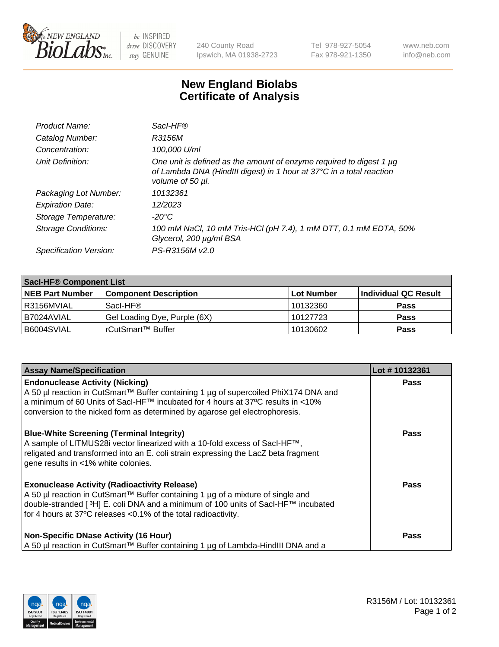

 $be$  INSPIRED drive DISCOVERY stay GENUINE

240 County Road Ipswich, MA 01938-2723 Tel 978-927-5054 Fax 978-921-1350 www.neb.com info@neb.com

## **New England Biolabs Certificate of Analysis**

| Product Name:              | Sacl-HF®                                                                                                                                                        |
|----------------------------|-----------------------------------------------------------------------------------------------------------------------------------------------------------------|
| Catalog Number:            | R3156M                                                                                                                                                          |
| Concentration:             | 100,000 U/ml                                                                                                                                                    |
| Unit Definition:           | One unit is defined as the amount of enzyme required to digest 1 µg<br>of Lambda DNA (HindIII digest) in 1 hour at 37°C in a total reaction<br>volume of 50 µl. |
| Packaging Lot Number:      | 10132361                                                                                                                                                        |
| <b>Expiration Date:</b>    | 12/2023                                                                                                                                                         |
| Storage Temperature:       | -20°C                                                                                                                                                           |
| <b>Storage Conditions:</b> | 100 mM NaCl, 10 mM Tris-HCl (pH 7.4), 1 mM DTT, 0.1 mM EDTA, 50%<br>Glycerol, 200 µg/ml BSA                                                                     |
| Specification Version:     | PS-R3156M v2.0                                                                                                                                                  |

| <b>Saci-HF® Component List</b> |                              |             |                      |  |  |
|--------------------------------|------------------------------|-------------|----------------------|--|--|
| <b>NEB Part Number</b>         | <b>Component Description</b> | ∣Lot Number | Individual QC Result |  |  |
| R3156MVIAL                     | Sacl-HF®                     | 10132360    | <b>Pass</b>          |  |  |
| B7024AVIAL                     | Gel Loading Dye, Purple (6X) | 10127723    | <b>Pass</b>          |  |  |
| B6004SVIAL                     | rCutSmart™ Buffer            | 10130602    | <b>Pass</b>          |  |  |

| <b>Assay Name/Specification</b>                                                                                                                                                                                                                                                                 | Lot #10132361 |
|-------------------------------------------------------------------------------------------------------------------------------------------------------------------------------------------------------------------------------------------------------------------------------------------------|---------------|
| <b>Endonuclease Activity (Nicking)</b><br>A 50 µl reaction in CutSmart™ Buffer containing 1 µg of supercoiled PhiX174 DNA and<br>a minimum of 60 Units of SacI-HF™ incubated for 4 hours at 37°C results in <10%<br>conversion to the nicked form as determined by agarose gel electrophoresis. | <b>Pass</b>   |
| <b>Blue-White Screening (Terminal Integrity)</b><br>A sample of LITMUS28i vector linearized with a 10-fold excess of SacI-HF™,<br>religated and transformed into an E. coli strain expressing the LacZ beta fragment<br>gene results in <1% white colonies.                                     | <b>Pass</b>   |
| <b>Exonuclease Activity (Radioactivity Release)</b><br>A 50 µl reaction in CutSmart™ Buffer containing 1 µg of a mixture of single and<br>double-stranded [3H] E. coli DNA and a minimum of 100 units of SacI-HF™ incubated<br>for 4 hours at 37°C releases <0.1% of the total radioactivity.   | <b>Pass</b>   |
| <b>Non-Specific DNase Activity (16 Hour)</b><br>  A 50 µl reaction in CutSmart™ Buffer containing 1 µg of Lambda-HindIII DNA and a                                                                                                                                                              | <b>Pass</b>   |